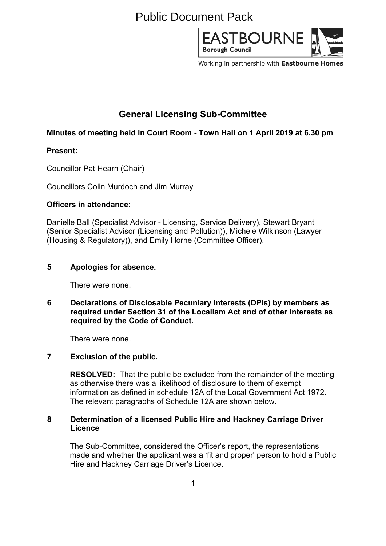# Public Document Pack



Working in partnership with Eastbourne Homes

# **General Licensing Sub-Committee**

# **Minutes of meeting held in Court Room - Town Hall on 1 April 2019 at 6.30 pm**

## **Present:**

Councillor Pat Hearn (Chair)

Councillors Colin Murdoch and Jim Murray

## **Officers in attendance:**

Danielle Ball (Specialist Advisor - Licensing, Service Delivery), Stewart Bryant (Senior Specialist Advisor (Licensing and Pollution)), Michele Wilkinson (Lawyer (Housing & Regulatory)), and Emily Horne (Committee Officer).

#### **5 Apologies for absence.**

There were none.

**6 Declarations of Disclosable Pecuniary Interests (DPIs) by members as required under Section 31 of the Localism Act and of other interests as required by the Code of Conduct.**

There were none.

#### **7 Exclusion of the public.**

**RESOLVED:** That the public be excluded from the remainder of the meeting as otherwise there was a likelihood of disclosure to them of exempt information as defined in schedule 12A of the Local Government Act 1972. The relevant paragraphs of Schedule 12A are shown below.

#### **8 Determination of a licensed Public Hire and Hackney Carriage Driver Licence**

The Sub-Committee, considered the Officer's report, the representations made and whether the applicant was a 'fit and proper' person to hold a Public Hire and Hackney Carriage Driver's Licence.